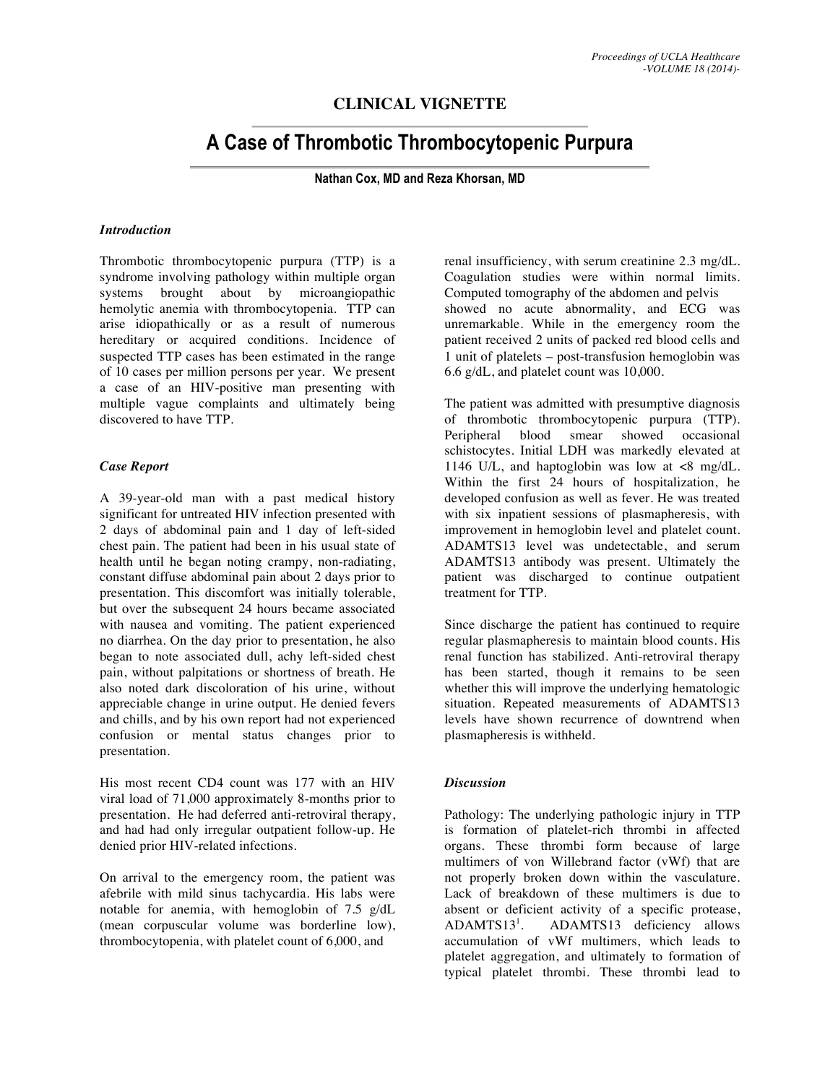## **CLINICAL VIGNETTE**

# **A Case of Thrombotic Thrombocytopenic Purpura**

**Nathan Cox, MD and Reza Khorsan, MD**

#### *Introduction*

Thrombotic thrombocytopenic purpura (TTP) is a syndrome involving pathology within multiple organ systems brought about by microangiopathic hemolytic anemia with thrombocytopenia. TTP can arise idiopathically or as a result of numerous hereditary or acquired conditions. Incidence of suspected TTP cases has been estimated in the range of 10 cases per million persons per year. We present a case of an HIV-positive man presenting with multiple vague complaints and ultimately being discovered to have TTP.

#### *Case Report*

A 39-year-old man with a past medical history significant for untreated HIV infection presented with 2 days of abdominal pain and 1 day of left-sided chest pain. The patient had been in his usual state of health until he began noting crampy, non-radiating, constant diffuse abdominal pain about 2 days prior to presentation. This discomfort was initially tolerable, but over the subsequent 24 hours became associated with nausea and vomiting. The patient experienced no diarrhea. On the day prior to presentation, he also began to note associated dull, achy left-sided chest pain, without palpitations or shortness of breath. He also noted dark discoloration of his urine, without appreciable change in urine output. He denied fevers and chills, and by his own report had not experienced confusion or mental status changes prior to presentation.

His most recent CD4 count was 177 with an HIV viral load of 71,000 approximately 8-months prior to presentation. He had deferred anti-retroviral therapy, and had had only irregular outpatient follow-up. He denied prior HIV-related infections.

On arrival to the emergency room, the patient was afebrile with mild sinus tachycardia. His labs were notable for anemia, with hemoglobin of 7.5 g/dL (mean corpuscular volume was borderline low), thrombocytopenia, with platelet count of 6,000, and

renal insufficiency, with serum creatinine 2.3 mg/dL. Coagulation studies were within normal limits. Computed tomography of the abdomen and pelvis showed no acute abnormality, and ECG was unremarkable. While in the emergency room the patient received 2 units of packed red blood cells and 1 unit of platelets – post-transfusion hemoglobin was 6.6 g/dL, and platelet count was 10,000.

The patient was admitted with presumptive diagnosis of thrombotic thrombocytopenic purpura (TTP). Peripheral blood smear showed occasional schistocytes. Initial LDH was markedly elevated at 1146 U/L, and haptoglobin was low at <8 mg/dL. Within the first 24 hours of hospitalization, he developed confusion as well as fever. He was treated with six inpatient sessions of plasmapheresis, with improvement in hemoglobin level and platelet count. ADAMTS13 level was undetectable, and serum ADAMTS13 antibody was present. Ultimately the patient was discharged to continue outpatient treatment for TTP.

Since discharge the patient has continued to require regular plasmapheresis to maintain blood counts. His renal function has stabilized. Anti-retroviral therapy has been started, though it remains to be seen whether this will improve the underlying hematologic situation. Repeated measurements of ADAMTS13 levels have shown recurrence of downtrend when plasmapheresis is withheld.

### *Discussion*

Pathology: The underlying pathologic injury in TTP is formation of platelet-rich thrombi in affected organs. These thrombi form because of large multimers of von Willebrand factor (vWf) that are not properly broken down within the vasculature. Lack of breakdown of these multimers is due to absent or deficient activity of a specific protease,  $ADAMTS13<sup>1</sup>$ . . ADAMTS13 deficiency allows accumulation of vWf multimers, which leads to platelet aggregation, and ultimately to formation of typical platelet thrombi. These thrombi lead to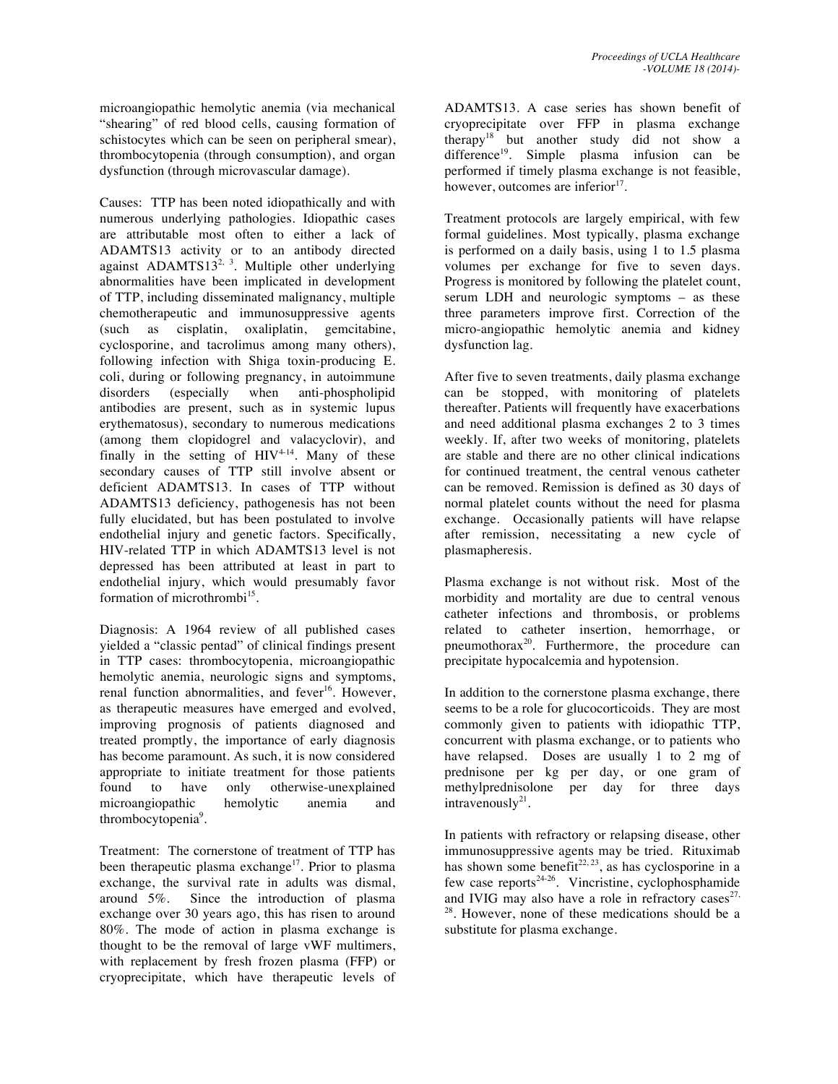microangiopathic hemolytic anemia (via mechanical "shearing" of red blood cells, causing formation of schistocytes which can be seen on peripheral smear), thrombocytopenia (through consumption), and organ dysfunction (through microvascular damage).

Causes: TTP has been noted idiopathically and with numerous underlying pathologies. Idiopathic cases are attributable most often to either a lack of ADAMTS13 activity or to an antibody directed against ADAMTS1 $3^{2, 3}$ . Multiple other underlying abnormalities have been implicated in development of TTP, including disseminated malignancy, multiple chemotherapeutic and immunosuppressive agents (such as cisplatin, oxaliplatin, gemcitabine, cyclosporine, and tacrolimus among many others), following infection with Shiga toxin-producing E. coli, during or following pregnancy, in autoimmune disorders (especially when anti-phospholipid antibodies are present, such as in systemic lupus erythematosus), secondary to numerous medications (among them clopidogrel and valacyclovir), and finally in the setting of  $HIV^{4,14}$ . Many of these secondary causes of TTP still involve absent or deficient ADAMTS13. In cases of TTP without ADAMTS13 deficiency, pathogenesis has not been fully elucidated, but has been postulated to involve endothelial injury and genetic factors. Specifically, HIV-related TTP in which ADAMTS13 level is not depressed has been attributed at least in part to endothelial injury, which would presumably favor formation of microthrombi<sup>15</sup>.

Diagnosis: A 1964 review of all published cases yielded a "classic pentad" of clinical findings present in TTP cases: thrombocytopenia, microangiopathic hemolytic anemia, neurologic signs and symptoms, renal function abnormalities, and fever<sup>16</sup>. However, as therapeutic measures have emerged and evolved, improving prognosis of patients diagnosed and treated promptly, the importance of early diagnosis has become paramount. As such, it is now considered appropriate to initiate treatment for those patients found to have only otherwise-unexplained microangiopathic hemolytic anemia and thrombocytopenia<sup>9</sup>.

Treatment: The cornerstone of treatment of TTP has been therapeutic plasma exchange<sup>17</sup>. Prior to plasma exchange, the survival rate in adults was dismal, around 5%. Since the introduction of plasma Since the introduction of plasma exchange over 30 years ago, this has risen to around 80%. The mode of action in plasma exchange is thought to be the removal of large vWF multimers, with replacement by fresh frozen plasma (FFP) or cryoprecipitate, which have therapeutic levels of ADAMTS13. A case series has shown benefit of cryoprecipitate over FFP in plasma exchange therapy<sup>18</sup> but another study did not show a difference<sup>19</sup>. Simple plasma infusion can be performed if timely plasma exchange is not feasible, however, outcomes are inferior<sup>17</sup>.

Treatment protocols are largely empirical, with few formal guidelines. Most typically, plasma exchange is performed on a daily basis, using 1 to 1.5 plasma volumes per exchange for five to seven days. Progress is monitored by following the platelet count, serum LDH and neurologic symptoms – as these three parameters improve first. Correction of the micro-angiopathic hemolytic anemia and kidney dysfunction lag.

After five to seven treatments, daily plasma exchange can be stopped, with monitoring of platelets thereafter. Patients will frequently have exacerbations and need additional plasma exchanges 2 to 3 times weekly. If, after two weeks of monitoring, platelets are stable and there are no other clinical indications for continued treatment, the central venous catheter can be removed. Remission is defined as 30 days of normal platelet counts without the need for plasma exchange. Occasionally patients will have relapse after remission, necessitating a new cycle of plasmapheresis.

Plasma exchange is not without risk. Most of the morbidity and mortality are due to central venous catheter infections and thrombosis, or problems related to catheter insertion, hemorrhage, or pneumothorax<sup>20</sup>. Furthermore, the procedure can precipitate hypocalcemia and hypotension.

In addition to the cornerstone plasma exchange, there seems to be a role for glucocorticoids. They are most commonly given to patients with idiopathic TTP, concurrent with plasma exchange, or to patients who have relapsed. Doses are usually 1 to 2 mg of prednisone per kg per day, or one gram of methylprednisolone per day for three days intravenously $2<sup>1</sup>$ .

In patients with refractory or relapsing disease, other immunosuppressive agents may be tried. Rituximab has shown some benefit<sup>22, 23</sup>, as has cyclosporine in a few case reports<sup>24-26</sup>. Vincristine, cyclophosphamide and IVIG may also have a role in refractory cases<sup>27,</sup> 28. However, none of these medications should be a substitute for plasma exchange.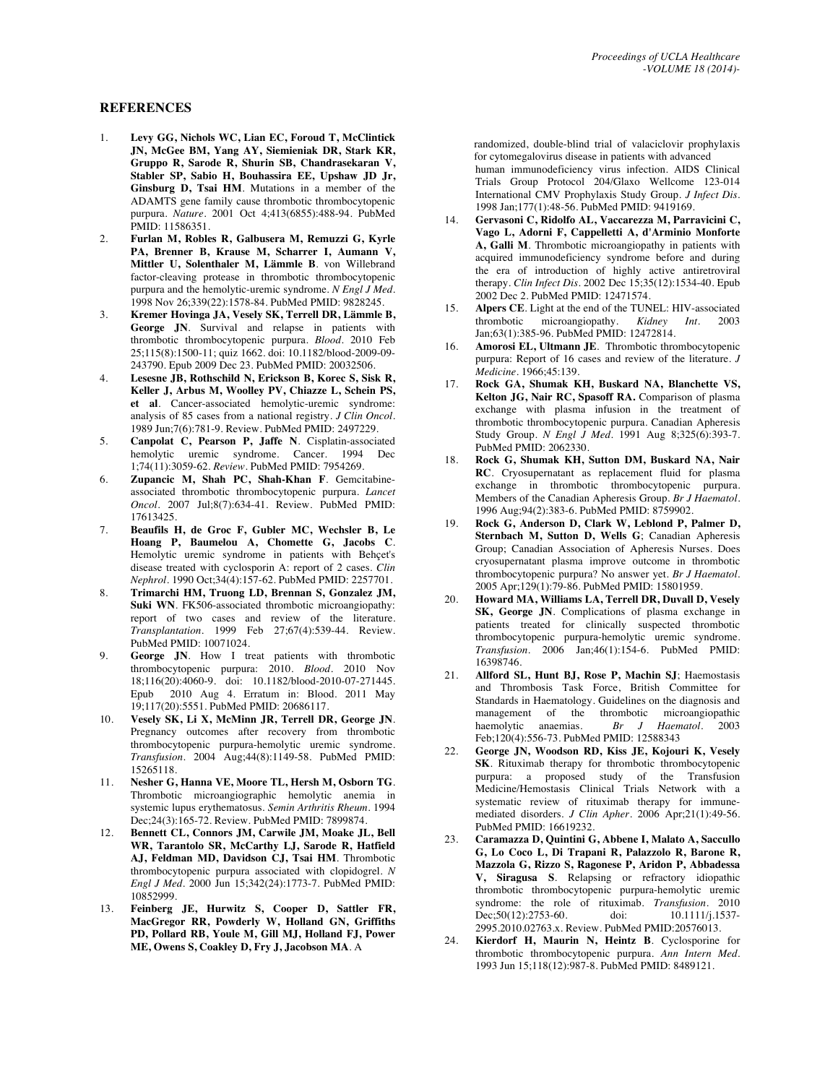#### **REFERENCES**

- 1. **Levy GG, Nichols WC, Lian EC, Foroud T, McClintick JN, McGee BM, Yang AY, Siemieniak DR, Stark KR, Gruppo R, Sarode R, Shurin SB, Chandrasekaran V, Stabler SP, Sabio H, Bouhassira EE, Upshaw JD Jr, Ginsburg D, Tsai HM**. Mutations in a member of the ADAMTS gene family cause thrombotic thrombocytopenic purpura. *Nature*. 2001 Oct 4;413(6855):488-94. PubMed PMID: 11586351.
- 2. **Furlan M, Robles R, Galbusera M, Remuzzi G, Kyrle PA, Brenner B, Krause M, Scharrer I, Aumann V, Mittler U, Solenthaler M, Lämmle B**. von Willebrand factor-cleaving protease in thrombotic thrombocytopenic purpura and the hemolytic-uremic syndrome. *N Engl J Med*. 1998 Nov 26;339(22):1578-84. PubMed PMID: 9828245.
- 3. **Kremer Hovinga JA, Vesely SK, Terrell DR, Lämmle B, George JN**. Survival and relapse in patients with thrombotic thrombocytopenic purpura. *Blood*. 2010 Feb 25;115(8):1500-11; quiz 1662. doi: 10.1182/blood-2009-09- 243790. Epub 2009 Dec 23. PubMed PMID: 20032506.
- 4. **Lesesne JB, Rothschild N, Erickson B, Korec S, Sisk R, Keller J, Arbus M, Woolley PV, Chiazze L, Schein PS, et al**. Cancer-associated hemolytic-uremic syndrome: analysis of 85 cases from a national registry. *J Clin Oncol*. 1989 Jun;7(6):781-9. Review. PubMed PMID: 2497229.
- 5. **Canpolat C, Pearson P, Jaffe N**. Cisplatin-associated hemolytic uremic syndrome. Cancer. 1994 Dec 1;74(11):3059-62. *Review*. PubMed PMID: 7954269.
- 6. **Zupancic M, Shah PC, Shah-Khan F**. Gemcitabineassociated thrombotic thrombocytopenic purpura. *Lancet Oncol*. 2007 Jul;8(7):634-41. Review. PubMed PMID: 17613425.
- 7. **Beaufils H, de Groc F, Gubler MC, Wechsler B, Le Hoang P, Baumelou A, Chomette G, Jacobs C**. Hemolytic uremic syndrome in patients with Behçet's disease treated with cyclosporin A: report of 2 cases. *Clin Nephrol*. 1990 Oct;34(4):157-62. PubMed PMID: 2257701.
- 8. **Trimarchi HM, Truong LD, Brennan S, Gonzalez JM, Suki WN**. FK506-associated thrombotic microangiopathy: report of two cases and review of the literature. *Transplantation*. 1999 Feb 27;67(4):539-44. Review. PubMed PMID: 10071024.
- 9. **George JN**. How I treat patients with thrombotic thrombocytopenic purpura: 2010. *Blood*. 2010 Nov 18;116(20):4060-9. doi: 10.1182/blood-2010-07-271445. Epub 2010 Aug 4. Erratum in: Blood. 2011 May 19;117(20):5551. PubMed PMID: 20686117.
- 10. **Vesely SK, Li X, McMinn JR, Terrell DR, George JN**. Pregnancy outcomes after recovery from thrombotic thrombocytopenic purpura-hemolytic uremic syndrome. *Transfusion*. 2004 Aug;44(8):1149-58. PubMed PMID: 15265118.
- 11. **Nesher G, Hanna VE, Moore TL, Hersh M, Osborn TG**. Thrombotic microangiographic hemolytic anemia in systemic lupus erythematosus. *Semin Arthritis Rheum*. 1994 Dec;24(3):165-72. Review. PubMed PMID: 7899874.
- 12. **Bennett CL, Connors JM, Carwile JM, Moake JL, Bell WR, Tarantolo SR, McCarthy LJ, Sarode R, Hatfield AJ, Feldman MD, Davidson CJ, Tsai HM**. Thrombotic thrombocytopenic purpura associated with clopidogrel. *N Engl J Med*. 2000 Jun 15;342(24):1773-7. PubMed PMID: 10852999.
- 13. **Feinberg JE, Hurwitz S, Cooper D, Sattler FR, MacGregor RR, Powderly W, Holland GN, Griffiths PD, Pollard RB, Youle M, Gill MJ, Holland FJ, Power ME, Owens S, Coakley D, Fry J, Jacobson MA**. A

randomized, double-blind trial of valaciclovir prophylaxis for cytomegalovirus disease in patients with advanced human immunodeficiency virus infection. AIDS Clinical Trials Group Protocol 204/Glaxo Wellcome 123-014 International CMV Prophylaxis Study Group. *J Infect Dis*. 1998 Jan;177(1):48-56. PubMed PMID: 9419169.

- 14. **Gervasoni C, Ridolfo AL, Vaccarezza M, Parravicini C, Vago L, Adorni F, Cappelletti A, d'Arminio Monforte A, Galli M**. Thrombotic microangiopathy in patients with acquired immunodeficiency syndrome before and during the era of introduction of highly active antiretroviral therapy. *Clin Infect Dis*. 2002 Dec 15;35(12):1534-40. Epub 2002 Dec 2. PubMed PMID: 12471574.
- 15. **Alpers CE**. Light at the end of the TUNEL: HIV-associated thrombotic microangiopathy. *Kidney Int.* 2003 thrombotic microangiopathy. *Kidney Int*. 2003 Jan;63(1):385-96. PubMed PMID: 12472814.
- 16. **Amorosi EL, Ultmann JE**. Thrombotic thrombocytopenic purpura: Report of 16 cases and review of the literature. *J Medicine*. 1966;45:139.
- 17. **Rock GA, Shumak KH, Buskard NA, Blanchette VS, Kelton JG, Nair RC, Spasoff RA.** Comparison of plasma exchange with plasma infusion in the treatment of thrombotic thrombocytopenic purpura. Canadian Apheresis Study Group. *N Engl J Med*. 1991 Aug 8;325(6):393-7. PubMed PMID: 2062330.
- 18. **Rock G, Shumak KH, Sutton DM, Buskard NA, Nair RC**. Cryosupernatant as replacement fluid for plasma exchange in thrombotic thrombocytopenic purpura. Members of the Canadian Apheresis Group. *Br J Haematol*. 1996 Aug;94(2):383-6. PubMed PMID: 8759902.
- 19. **Rock G, Anderson D, Clark W, Leblond P, Palmer D, Sternbach M, Sutton D, Wells G**; Canadian Apheresis Group; Canadian Association of Apheresis Nurses. Does cryosupernatant plasma improve outcome in thrombotic thrombocytopenic purpura? No answer yet. *Br J Haematol*. 2005 Apr;129(1):79-86. PubMed PMID: 15801959.
- 20. **Howard MA, Williams LA, Terrell DR, Duvall D, Vesely SK, George JN**. Complications of plasma exchange in patients treated for clinically suspected thrombotic thrombocytopenic purpura-hemolytic uremic syndrome. *Transfusion*. 2006 Jan;46(1):154-6. PubMed PMID: 16398746.
- 21. **Allford SL, Hunt BJ, Rose P, Machin SJ**; Haemostasis and Thrombosis Task Force, British Committee for Standards in Haematology. Guidelines on the diagnosis and management of the thrombotic microangiopathic haemolytic anaemias. *Br J Haematol*. 2003 Feb;120(4):556-73. PubMed PMID: 12588343
- 22. **George JN, Woodson RD, Kiss JE, Kojouri K, Vesely SK**. Rituximab therapy for thrombotic thrombocytopenic purpura: a proposed study of the Transfusion Medicine/Hemostasis Clinical Trials Network with a systematic review of rituximab therapy for immunemediated disorders. *J Clin Apher*. 2006 Apr;21(1):49-56. PubMed PMID: 16619232.
- 23. **Caramazza D, Quintini G, Abbene I, Malato A, Saccullo G, Lo Coco L, Di Trapani R, Palazzolo R, Barone R, Mazzola G, Rizzo S, Ragonese P, Aridon P, Abbadessa V, Siragusa S**. Relapsing or refractory idiopathic thrombotic thrombocytopenic purpura-hemolytic uremic syndrome: the role of rituximab. *Transfusion*. 2010 Dec:50(12):2753-60. doi: 10.1111/j.1537-2995.2010.02763.x. Review. PubMed PMID:20576013.
- 24. **Kierdorf H, Maurin N, Heintz B**. Cyclosporine for thrombotic thrombocytopenic purpura. *Ann Intern Med*. 1993 Jun 15;118(12):987-8. PubMed PMID: 8489121.